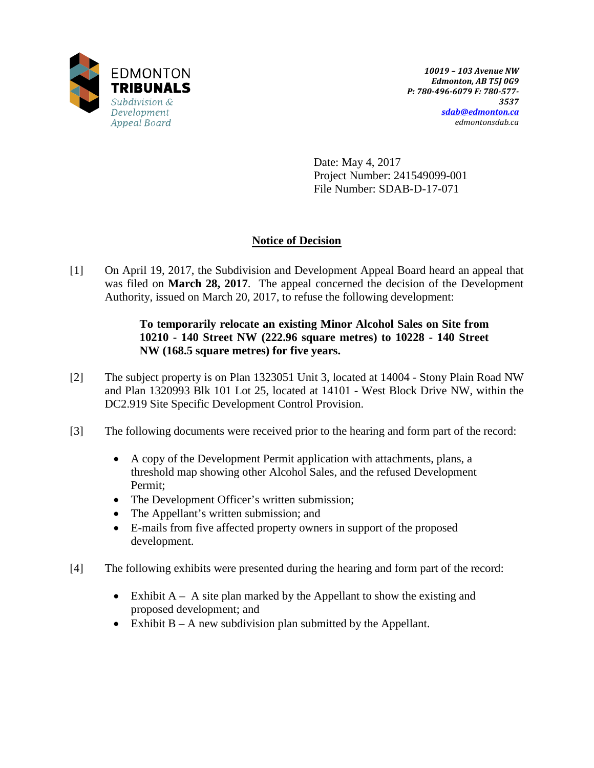

Date: May 4, 2017 Project Number: 241549099-001 File Number: SDAB-D-17-071

# **Notice of Decision**

[1] On April 19, 2017, the Subdivision and Development Appeal Board heard an appeal that was filed on **March 28, 2017**. The appeal concerned the decision of the Development Authority, issued on March 20, 2017, to refuse the following development:

# **To temporarily relocate an existing Minor Alcohol Sales on Site from 10210 - 140 Street NW (222.96 square metres) to 10228 - 140 Street NW (168.5 square metres) for five years.**

- [2] The subject property is on Plan 1323051 Unit 3, located at 14004 Stony Plain Road NW and Plan 1320993 Blk 101 Lot 25, located at 14101 - West Block Drive NW, within the DC2.919 Site Specific Development Control Provision.
- [3] The following documents were received prior to the hearing and form part of the record:
	- A copy of the Development Permit application with attachments, plans, a threshold map showing other Alcohol Sales, and the refused Development Permit;
	- The Development Officer's written submission;
	- The Appellant's written submission; and
	- E-mails from five affected property owners in support of the proposed development.
- [4] The following exhibits were presented during the hearing and form part of the record:
	- Exhibit  $A A$  site plan marked by the Appellant to show the existing and proposed development; and
	- Exhibit  $B A$  new subdivision plan submitted by the Appellant.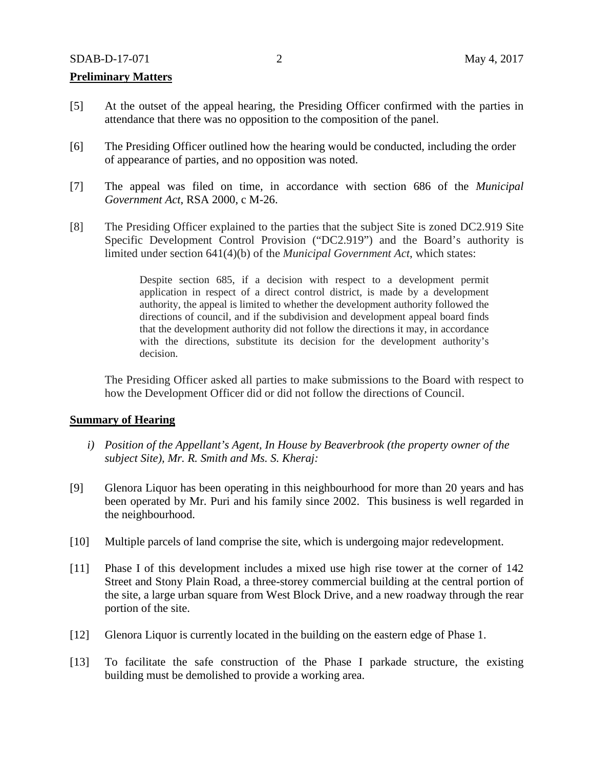### **Preliminary Matters**

- [5] At the outset of the appeal hearing, the Presiding Officer confirmed with the parties in attendance that there was no opposition to the composition of the panel.
- [6] The Presiding Officer outlined how the hearing would be conducted, including the order of appearance of parties, and no opposition was noted.
- [7] The appeal was filed on time, in accordance with section 686 of the *Municipal Government Act*, RSA 2000, c M-26.
- [8] The Presiding Officer explained to the parties that the subject Site is zoned DC2.919 Site Specific Development Control Provision ("DC2.919") and the Board's authority is limited under section 641(4)(b) of the *Municipal Government Act*, which states:

Despite section 685, if a decision with respect to a development permit application in respect of a direct control district, is made by a development authority, the appeal is limited to whether the development authority followed the directions of council, and if the subdivision and development appeal board finds that the development authority did not follow the directions it may, in accordance with the directions, substitute its decision for the development authority's decision.

The Presiding Officer asked all parties to make submissions to the Board with respect to how the Development Officer did or did not follow the directions of Council.

#### **Summary of Hearing**

- *i) Position of the Appellant's Agent, In House by Beaverbrook (the property owner of the subject Site), Mr. R. Smith and Ms. S. Kheraj:*
- [9] Glenora Liquor has been operating in this neighbourhood for more than 20 years and has been operated by Mr. Puri and his family since 2002. This business is well regarded in the neighbourhood.
- [10] Multiple parcels of land comprise the site, which is undergoing major redevelopment.
- [11] Phase I of this development includes a mixed use high rise tower at the corner of 142 Street and Stony Plain Road, a three-storey commercial building at the central portion of the site, a large urban square from West Block Drive, and a new roadway through the rear portion of the site.
- [12] Glenora Liquor is currently located in the building on the eastern edge of Phase 1.
- [13] To facilitate the safe construction of the Phase I parkade structure, the existing building must be demolished to provide a working area.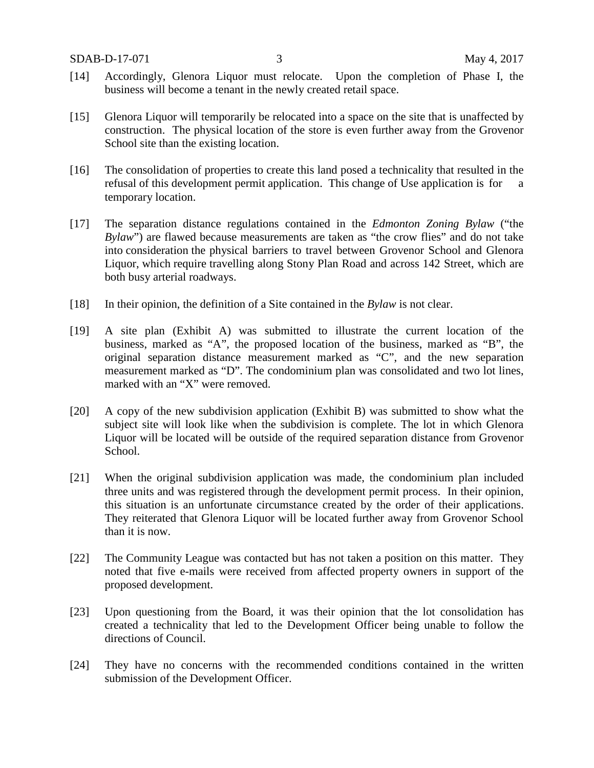- [14] Accordingly, Glenora Liquor must relocate. Upon the completion of Phase I, the business will become a tenant in the newly created retail space.
- [15] Glenora Liquor will temporarily be relocated into a space on the site that is unaffected by construction. The physical location of the store is even further away from the Grovenor School site than the existing location.
- [16] The consolidation of properties to create this land posed a technicality that resulted in the refusal of this development permit application. This change of Use application is for a temporary location.
- [17] The separation distance regulations contained in the *Edmonton Zoning Bylaw* ("the *Bylaw*") are flawed because measurements are taken as "the crow flies" and do not take into consideration the physical barriers to travel between Grovenor School and Glenora Liquor, which require travelling along Stony Plan Road and across 142 Street, which are both busy arterial roadways.
- [18] In their opinion, the definition of a Site contained in the *Bylaw* is not clear.
- [19] A site plan (Exhibit A) was submitted to illustrate the current location of the business, marked as "A", the proposed location of the business, marked as "B", the original separation distance measurement marked as "C", and the new separation measurement marked as "D". The condominium plan was consolidated and two lot lines, marked with an "X" were removed.
- [20] A copy of the new subdivision application (Exhibit B) was submitted to show what the subject site will look like when the subdivision is complete. The lot in which Glenora Liquor will be located will be outside of the required separation distance from Grovenor School.
- [21] When the original subdivision application was made, the condominium plan included three units and was registered through the development permit process. In their opinion, this situation is an unfortunate circumstance created by the order of their applications. They reiterated that Glenora Liquor will be located further away from Grovenor School than it is now.
- [22] The Community League was contacted but has not taken a position on this matter. They noted that five e-mails were received from affected property owners in support of the proposed development.
- [23] Upon questioning from the Board, it was their opinion that the lot consolidation has created a technicality that led to the Development Officer being unable to follow the directions of Council.
- [24] They have no concerns with the recommended conditions contained in the written submission of the Development Officer.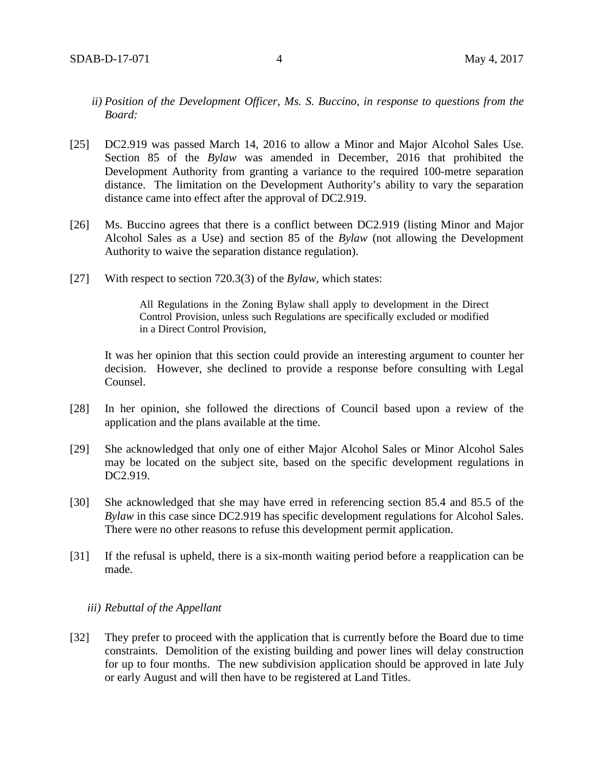- *ii) Position of the Development Officer, Ms. S. Buccino, in response to questions from the Board:*
- [25] DC2.919 was passed March 14, 2016 to allow a Minor and Major Alcohol Sales Use. Section 85 of the *Bylaw* was amended in December, 2016 that prohibited the Development Authority from granting a variance to the required 100-metre separation distance. The limitation on the Development Authority's ability to vary the separation distance came into effect after the approval of DC2.919.
- [26] Ms. Buccino agrees that there is a conflict between DC2.919 (listing Minor and Major Alcohol Sales as a Use) and section 85 of the *Bylaw* (not allowing the Development Authority to waive the separation distance regulation).
- [27] With respect to section 720.3(3) of the *Bylaw,* which states:

All Regulations in the Zoning Bylaw shall apply to development in the Direct Control Provision, unless such Regulations are specifically excluded or modified in a Direct Control Provision,

It was her opinion that this section could provide an interesting argument to counter her decision. However, she declined to provide a response before consulting with Legal Counsel.

- [28] In her opinion, she followed the directions of Council based upon a review of the application and the plans available at the time.
- [29] She acknowledged that only one of either Major Alcohol Sales or Minor Alcohol Sales may be located on the subject site, based on the specific development regulations in DC2.919.
- [30] She acknowledged that she may have erred in referencing section 85.4 and 85.5 of the *Bylaw* in this case since DC2.919 has specific development regulations for Alcohol Sales. There were no other reasons to refuse this development permit application.
- [31] If the refusal is upheld, there is a six-month waiting period before a reapplication can be made.

#### *iii) Rebuttal of the Appellant*

[32] They prefer to proceed with the application that is currently before the Board due to time constraints. Demolition of the existing building and power lines will delay construction for up to four months. The new subdivision application should be approved in late July or early August and will then have to be registered at Land Titles.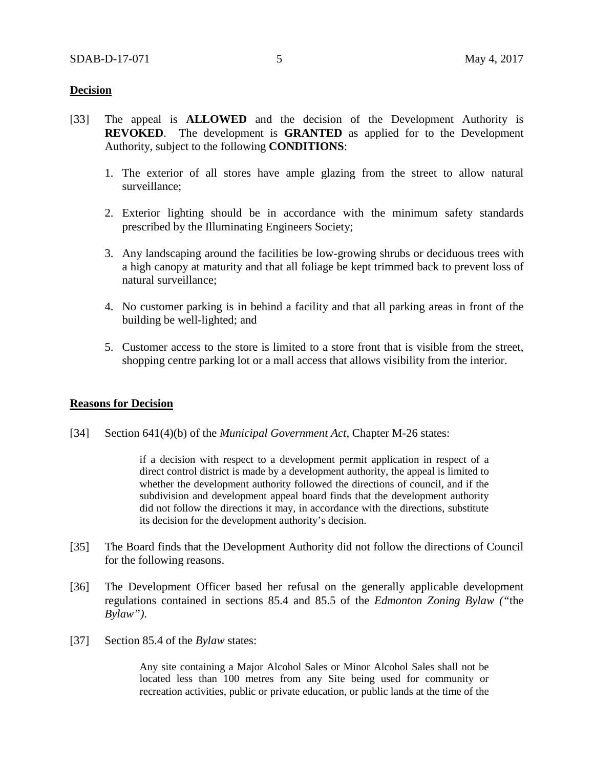### **Decision**

- [33] The appeal is **ALLOWED** and the decision of the Development Authority is **REVOKED**. The development is **GRANTED** as applied for to the Development Authority, subject to the following **CONDITIONS**:
	- 1. The exterior of all stores have ample glazing from the street to allow natural surveillance;
	- 2. Exterior lighting should be in accordance with the minimum safety standards prescribed by the Illuminating Engineers Society;
	- 3. Any landscaping around the facilities be low-growing shrubs or deciduous trees with a high canopy at maturity and that all foliage be kept trimmed back to prevent loss of natural surveillance;
	- 4. No customer parking is in behind a facility and that all parking areas in front of the building be well-lighted; and
	- 5. Customer access to the store is limited to a store front that is visible from the street, shopping centre parking lot or a mall access that allows visibility from the interior.

#### **Reasons for Decision**

[34] Section 641(4)(b) of the *Municipal Government Act*, Chapter M-26 states:

if a decision with respect to a development permit application in respect of a direct control district is made by a development authority, the appeal is limited to whether the development authority followed the directions of council, and if the subdivision and development appeal board finds that the development authority did not follow the directions it may, in accordance with the directions, substitute its decision for the development authority's decision.

- [35] The Board finds that the Development Authority did not follow the directions of Council for the following reasons.
- [36] The Development Officer based her refusal on the generally applicable development regulations contained in sections 85.4 and 85.5 of the *Edmonton Zoning Bylaw ("*the *Bylaw")*.
- [37] Section 85.4 of the *Bylaw* states:

Any site containing a Major Alcohol Sales or Minor Alcohol Sales shall not be located less than 100 metres from any Site being used for community or recreation activities, public or private education, or public lands at the time of the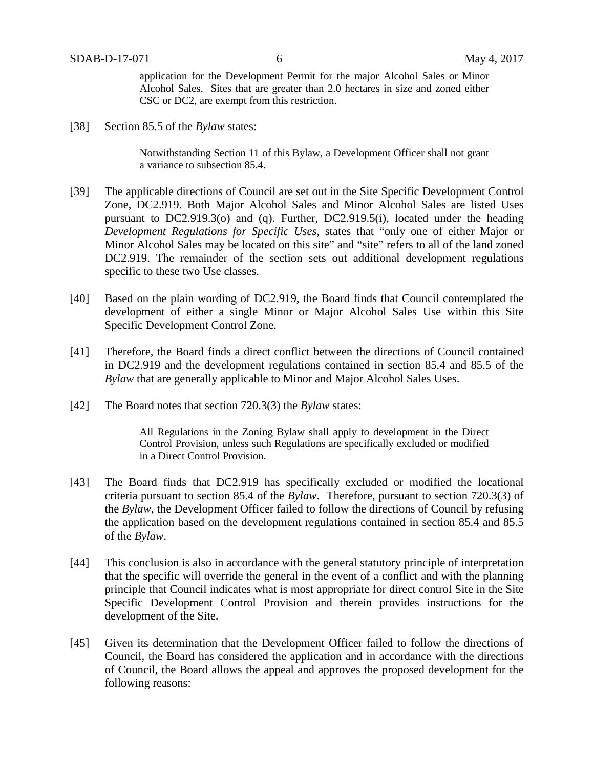application for the Development Permit for the major Alcohol Sales or Minor Alcohol Sales. Sites that are greater than 2.0 hectares in size and zoned either CSC or DC2, are exempt from this restriction.

[38] Section 85.5 of the *Bylaw* states:

Notwithstanding Section 11 of this Bylaw, a Development Officer shall not grant a variance to subsection 85.4.

- [39] The applicable directions of Council are set out in the Site Specific Development Control Zone, DC2.919. Both Major Alcohol Sales and Minor Alcohol Sales are listed Uses pursuant to DC2.919.3(o) and (q). Further, DC2.919.5(i), located under the heading *Development Regulations for Specific Uses,* states that "only one of either Major or Minor Alcohol Sales may be located on this site" and "site" refers to all of the land zoned DC2.919. The remainder of the section sets out additional development regulations specific to these two Use classes.
- [40] Based on the plain wording of DC2.919, the Board finds that Council contemplated the development of either a single Minor or Major Alcohol Sales Use within this Site Specific Development Control Zone.
- [41] Therefore, the Board finds a direct conflict between the directions of Council contained in DC2.919 and the development regulations contained in section 85.4 and 85.5 of the *Bylaw* that are generally applicable to Minor and Major Alcohol Sales Uses.
- [42] The Board notes that section 720.3(3) the *Bylaw* states:

All Regulations in the Zoning Bylaw shall apply to development in the Direct Control Provision, unless such Regulations are specifically excluded or modified in a Direct Control Provision.

- [43] The Board finds that DC2.919 has specifically excluded or modified the locational criteria pursuant to section 85.4 of the *Bylaw*. Therefore, pursuant to section 720.3(3) of the *Bylaw*, the Development Officer failed to follow the directions of Council by refusing the application based on the development regulations contained in section 85.4 and 85.5 of the *Bylaw*.
- [44] This conclusion is also in accordance with the general statutory principle of interpretation that the specific will override the general in the event of a conflict and with the planning principle that Council indicates what is most appropriate for direct control Site in the Site Specific Development Control Provision and therein provides instructions for the development of the Site.
- [45] Given its determination that the Development Officer failed to follow the directions of Council, the Board has considered the application and in accordance with the directions of Council, the Board allows the appeal and approves the proposed development for the following reasons: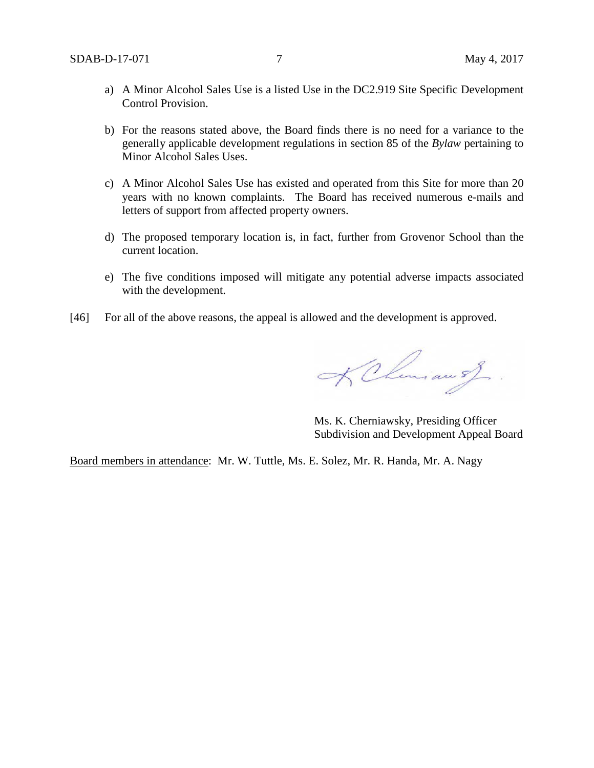- a) A Minor Alcohol Sales Use is a listed Use in the DC2.919 Site Specific Development Control Provision.
- b) For the reasons stated above, the Board finds there is no need for a variance to the generally applicable development regulations in section 85 of the *Bylaw* pertaining to Minor Alcohol Sales Uses.
- c) A Minor Alcohol Sales Use has existed and operated from this Site for more than 20 years with no known complaints. The Board has received numerous e-mails and letters of support from affected property owners.
- d) The proposed temporary location is, in fact, further from Grovenor School than the current location.
- e) The five conditions imposed will mitigate any potential adverse impacts associated with the development.
- [46] For all of the above reasons, the appeal is allowed and the development is approved.

K Chemian of

Ms. K. Cherniawsky, Presiding Officer Subdivision and Development Appeal Board

Board members in attendance: Mr. W. Tuttle, Ms. E. Solez, Mr. R. Handa, Mr. A. Nagy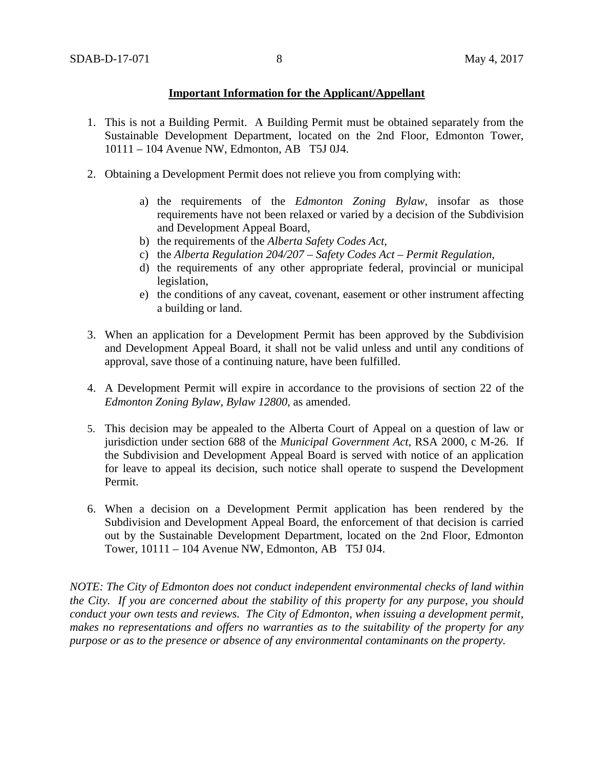## **Important Information for the Applicant/Appellant**

- 1. This is not a Building Permit. A Building Permit must be obtained separately from the Sustainable Development Department, located on the 2nd Floor, Edmonton Tower, 10111 – 104 Avenue NW, Edmonton, AB T5J 0J4.
- 2. Obtaining a Development Permit does not relieve you from complying with:
	- a) the requirements of the *Edmonton Zoning Bylaw*, insofar as those requirements have not been relaxed or varied by a decision of the Subdivision and Development Appeal Board,
	- b) the requirements of the *Alberta Safety Codes Act*,
	- c) the *Alberta Regulation 204/207 – Safety Codes Act – Permit Regulation*,
	- d) the requirements of any other appropriate federal, provincial or municipal legislation,
	- e) the conditions of any caveat, covenant, easement or other instrument affecting a building or land.
- 3. When an application for a Development Permit has been approved by the Subdivision and Development Appeal Board, it shall not be valid unless and until any conditions of approval, save those of a continuing nature, have been fulfilled.
- 4. A Development Permit will expire in accordance to the provisions of section 22 of the *Edmonton Zoning Bylaw, Bylaw 12800*, as amended.
- 5. This decision may be appealed to the Alberta Court of Appeal on a question of law or jurisdiction under section 688 of the *Municipal Government Act*, RSA 2000, c M-26. If the Subdivision and Development Appeal Board is served with notice of an application for leave to appeal its decision, such notice shall operate to suspend the Development Permit.
- 6. When a decision on a Development Permit application has been rendered by the Subdivision and Development Appeal Board, the enforcement of that decision is carried out by the Sustainable Development Department, located on the 2nd Floor, Edmonton Tower, 10111 – 104 Avenue NW, Edmonton, AB T5J 0J4.

*NOTE: The City of Edmonton does not conduct independent environmental checks of land within the City. If you are concerned about the stability of this property for any purpose, you should conduct your own tests and reviews. The City of Edmonton, when issuing a development permit, makes no representations and offers no warranties as to the suitability of the property for any purpose or as to the presence or absence of any environmental contaminants on the property.*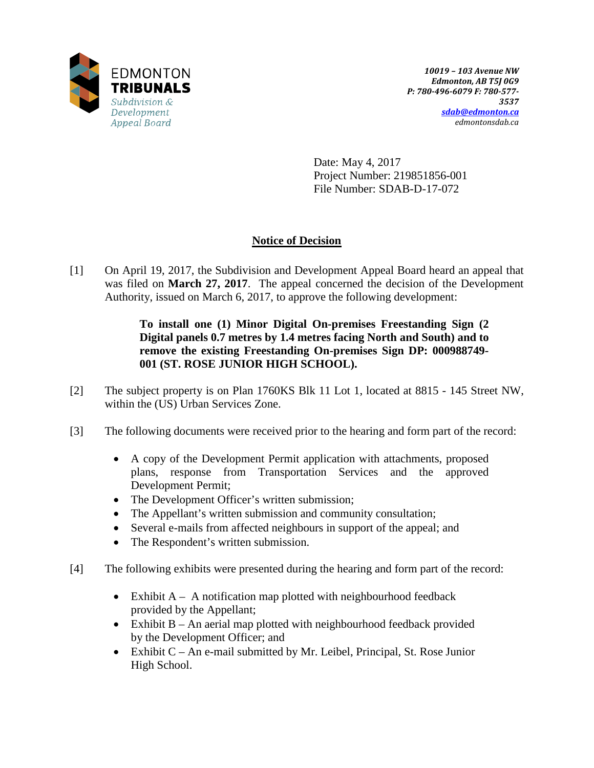

Date: May 4, 2017 Project Number: 219851856-001 File Number: SDAB-D-17-072

# **Notice of Decision**

[1] On April 19, 2017, the Subdivision and Development Appeal Board heard an appeal that was filed on **March 27, 2017**. The appeal concerned the decision of the Development Authority, issued on March 6, 2017, to approve the following development:

## **To install one (1) Minor Digital On-premises Freestanding Sign (2 Digital panels 0.7 metres by 1.4 metres facing North and South) and to remove the existing Freestanding On-premises Sign DP: 000988749- 001 (ST. ROSE JUNIOR HIGH SCHOOL).**

- [2] The subject property is on Plan 1760KS Blk 11 Lot 1, located at 8815 145 Street NW, within the (US) Urban Services Zone.
- [3] The following documents were received prior to the hearing and form part of the record:
	- A copy of the Development Permit application with attachments, proposed plans, response from Transportation Services and the approved Development Permit;
	- The Development Officer's written submission;
	- The Appellant's written submission and community consultation;
	- Several e-mails from affected neighbours in support of the appeal; and
	- The Respondent's written submission.
- [4] The following exhibits were presented during the hearing and form part of the record:
	- Exhibit  $A A$  notification map plotted with neighbourhood feedback provided by the Appellant;
	- Exhibit B An aerial map plotted with neighbourhood feedback provided by the Development Officer; and
	- Exhibit C An e-mail submitted by Mr. Leibel, Principal, St. Rose Junior High School.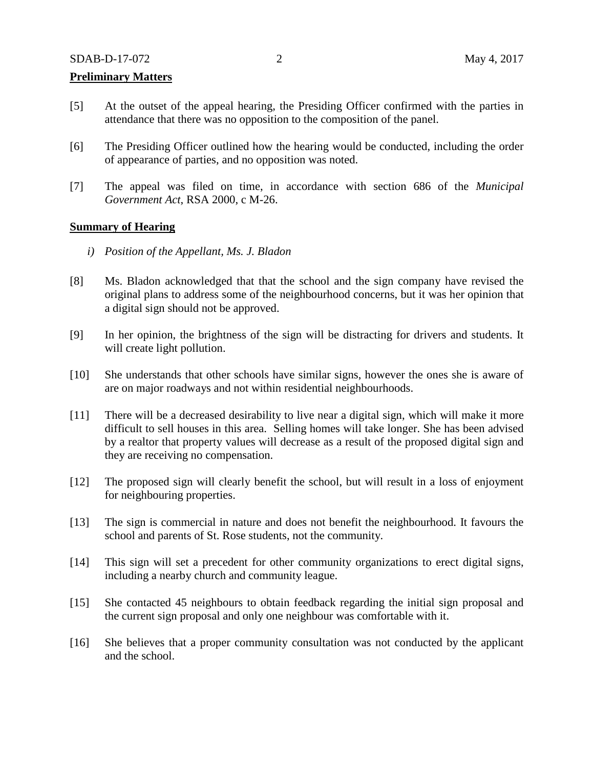### **Preliminary Matters**

- [5] At the outset of the appeal hearing, the Presiding Officer confirmed with the parties in attendance that there was no opposition to the composition of the panel.
- [6] The Presiding Officer outlined how the hearing would be conducted, including the order of appearance of parties, and no opposition was noted.
- [7] The appeal was filed on time, in accordance with section 686 of the *Municipal Government Act*, RSA 2000, c M-26.

#### **Summary of Hearing**

- *i) Position of the Appellant, Ms. J. Bladon*
- [8] Ms. Bladon acknowledged that that the school and the sign company have revised the original plans to address some of the neighbourhood concerns, but it was her opinion that a digital sign should not be approved.
- [9] In her opinion, the brightness of the sign will be distracting for drivers and students. It will create light pollution.
- [10] She understands that other schools have similar signs, however the ones she is aware of are on major roadways and not within residential neighbourhoods.
- [11] There will be a decreased desirability to live near a digital sign, which will make it more difficult to sell houses in this area. Selling homes will take longer. She has been advised by a realtor that property values will decrease as a result of the proposed digital sign and they are receiving no compensation.
- [12] The proposed sign will clearly benefit the school, but will result in a loss of enjoyment for neighbouring properties.
- [13] The sign is commercial in nature and does not benefit the neighbourhood. It favours the school and parents of St. Rose students, not the community.
- [14] This sign will set a precedent for other community organizations to erect digital signs, including a nearby church and community league.
- [15] She contacted 45 neighbours to obtain feedback regarding the initial sign proposal and the current sign proposal and only one neighbour was comfortable with it.
- [16] She believes that a proper community consultation was not conducted by the applicant and the school.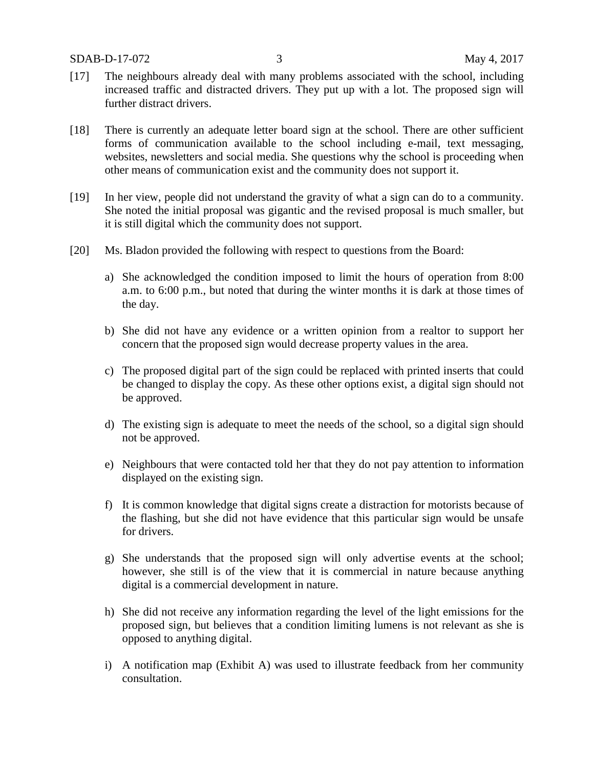- [17] The neighbours already deal with many problems associated with the school, including increased traffic and distracted drivers. They put up with a lot. The proposed sign will further distract drivers.
- [18] There is currently an adequate letter board sign at the school. There are other sufficient forms of communication available to the school including e-mail, text messaging, websites, newsletters and social media. She questions why the school is proceeding when other means of communication exist and the community does not support it.
- [19] In her view, people did not understand the gravity of what a sign can do to a community. She noted the initial proposal was gigantic and the revised proposal is much smaller, but it is still digital which the community does not support.
- [20] Ms. Bladon provided the following with respect to questions from the Board:
	- a) She acknowledged the condition imposed to limit the hours of operation from 8:00 a.m. to 6:00 p.m., but noted that during the winter months it is dark at those times of the day.
	- b) She did not have any evidence or a written opinion from a realtor to support her concern that the proposed sign would decrease property values in the area.
	- c) The proposed digital part of the sign could be replaced with printed inserts that could be changed to display the copy. As these other options exist, a digital sign should not be approved.
	- d) The existing sign is adequate to meet the needs of the school, so a digital sign should not be approved.
	- e) Neighbours that were contacted told her that they do not pay attention to information displayed on the existing sign.
	- f) It is common knowledge that digital signs create a distraction for motorists because of the flashing, but she did not have evidence that this particular sign would be unsafe for drivers.
	- g) She understands that the proposed sign will only advertise events at the school; however, she still is of the view that it is commercial in nature because anything digital is a commercial development in nature.
	- h) She did not receive any information regarding the level of the light emissions for the proposed sign, but believes that a condition limiting lumens is not relevant as she is opposed to anything digital.
	- i) A notification map (Exhibit A) was used to illustrate feedback from her community consultation.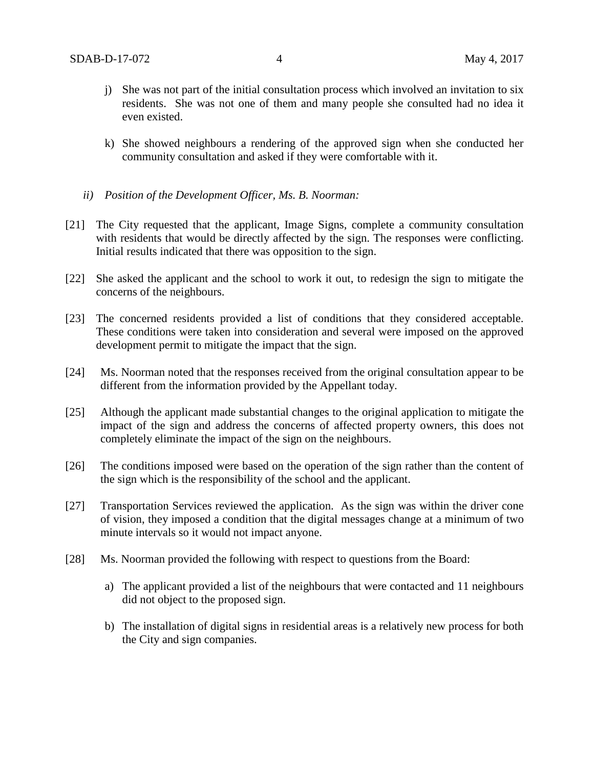- j) She was not part of the initial consultation process which involved an invitation to six residents. She was not one of them and many people she consulted had no idea it even existed.
- k) She showed neighbours a rendering of the approved sign when she conducted her community consultation and asked if they were comfortable with it.
- *ii) Position of the Development Officer, Ms. B. Noorman:*
- [21] The City requested that the applicant, Image Signs, complete a community consultation with residents that would be directly affected by the sign. The responses were conflicting. Initial results indicated that there was opposition to the sign.
- [22] She asked the applicant and the school to work it out, to redesign the sign to mitigate the concerns of the neighbours.
- [23] The concerned residents provided a list of conditions that they considered acceptable. These conditions were taken into consideration and several were imposed on the approved development permit to mitigate the impact that the sign.
- [24] Ms. Noorman noted that the responses received from the original consultation appear to be different from the information provided by the Appellant today.
- [25] Although the applicant made substantial changes to the original application to mitigate the impact of the sign and address the concerns of affected property owners, this does not completely eliminate the impact of the sign on the neighbours.
- [26] The conditions imposed were based on the operation of the sign rather than the content of the sign which is the responsibility of the school and the applicant.
- [27] Transportation Services reviewed the application. As the sign was within the driver cone of vision, they imposed a condition that the digital messages change at a minimum of two minute intervals so it would not impact anyone.
- [28] Ms. Noorman provided the following with respect to questions from the Board:
	- a) The applicant provided a list of the neighbours that were contacted and 11 neighbours did not object to the proposed sign.
	- b) The installation of digital signs in residential areas is a relatively new process for both the City and sign companies.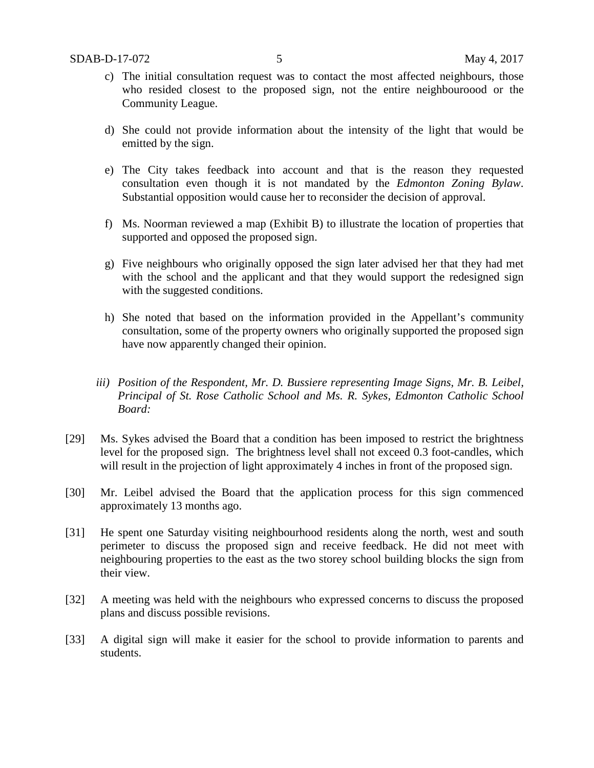- c) The initial consultation request was to contact the most affected neighbours, those who resided closest to the proposed sign, not the entire neighbouroood or the Community League.
- d) She could not provide information about the intensity of the light that would be emitted by the sign.
- e) The City takes feedback into account and that is the reason they requested consultation even though it is not mandated by the *Edmonton Zoning Bylaw*. Substantial opposition would cause her to reconsider the decision of approval.
- f) Ms. Noorman reviewed a map (Exhibit B) to illustrate the location of properties that supported and opposed the proposed sign.
- g) Five neighbours who originally opposed the sign later advised her that they had met with the school and the applicant and that they would support the redesigned sign with the suggested conditions.
- h) She noted that based on the information provided in the Appellant's community consultation, some of the property owners who originally supported the proposed sign have now apparently changed their opinion.
- *iii) Position of the Respondent, Mr. D. Bussiere representing Image Signs, Mr. B. Leibel, Principal of St. Rose Catholic School and Ms. R. Sykes, Edmonton Catholic School Board:*
- [29] Ms. Sykes advised the Board that a condition has been imposed to restrict the brightness level for the proposed sign. The brightness level shall not exceed 0.3 foot-candles, which will result in the projection of light approximately 4 inches in front of the proposed sign.
- [30] Mr. Leibel advised the Board that the application process for this sign commenced approximately 13 months ago.
- [31] He spent one Saturday visiting neighbourhood residents along the north, west and south perimeter to discuss the proposed sign and receive feedback. He did not meet with neighbouring properties to the east as the two storey school building blocks the sign from their view.
- [32] A meeting was held with the neighbours who expressed concerns to discuss the proposed plans and discuss possible revisions.
- [33] A digital sign will make it easier for the school to provide information to parents and students.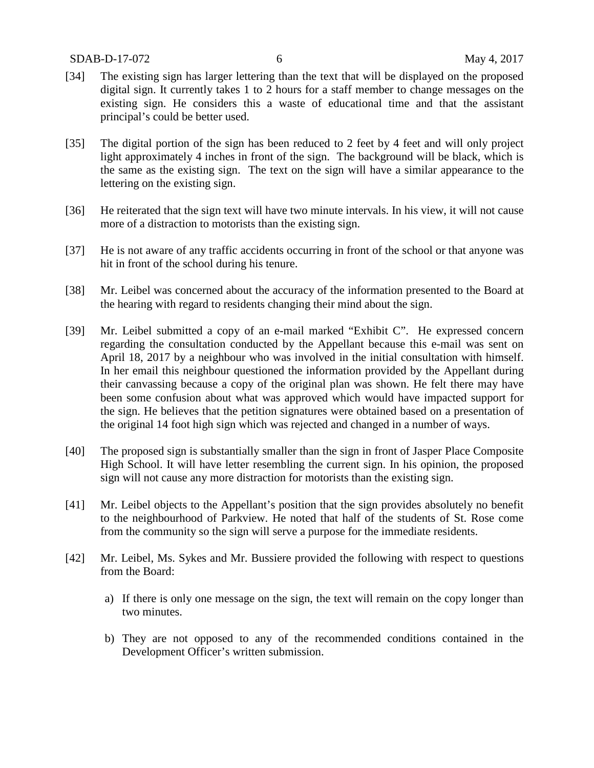- [34] The existing sign has larger lettering than the text that will be displayed on the proposed digital sign. It currently takes 1 to 2 hours for a staff member to change messages on the existing sign. He considers this a waste of educational time and that the assistant principal's could be better used.
- [35] The digital portion of the sign has been reduced to 2 feet by 4 feet and will only project light approximately 4 inches in front of the sign. The background will be black, which is the same as the existing sign. The text on the sign will have a similar appearance to the lettering on the existing sign.
- [36] He reiterated that the sign text will have two minute intervals. In his view, it will not cause more of a distraction to motorists than the existing sign.
- [37] He is not aware of any traffic accidents occurring in front of the school or that anyone was hit in front of the school during his tenure.
- [38] Mr. Leibel was concerned about the accuracy of the information presented to the Board at the hearing with regard to residents changing their mind about the sign.
- [39] Mr. Leibel submitted a copy of an e-mail marked "Exhibit C". He expressed concern regarding the consultation conducted by the Appellant because this e-mail was sent on April 18, 2017 by a neighbour who was involved in the initial consultation with himself. In her email this neighbour questioned the information provided by the Appellant during their canvassing because a copy of the original plan was shown. He felt there may have been some confusion about what was approved which would have impacted support for the sign. He believes that the petition signatures were obtained based on a presentation of the original 14 foot high sign which was rejected and changed in a number of ways.
- [40] The proposed sign is substantially smaller than the sign in front of Jasper Place Composite High School. It will have letter resembling the current sign. In his opinion, the proposed sign will not cause any more distraction for motorists than the existing sign.
- [41] Mr. Leibel objects to the Appellant's position that the sign provides absolutely no benefit to the neighbourhood of Parkview. He noted that half of the students of St. Rose come from the community so the sign will serve a purpose for the immediate residents.
- [42] Mr. Leibel, Ms. Sykes and Mr. Bussiere provided the following with respect to questions from the Board:
	- a) If there is only one message on the sign, the text will remain on the copy longer than two minutes.
	- b) They are not opposed to any of the recommended conditions contained in the Development Officer's written submission.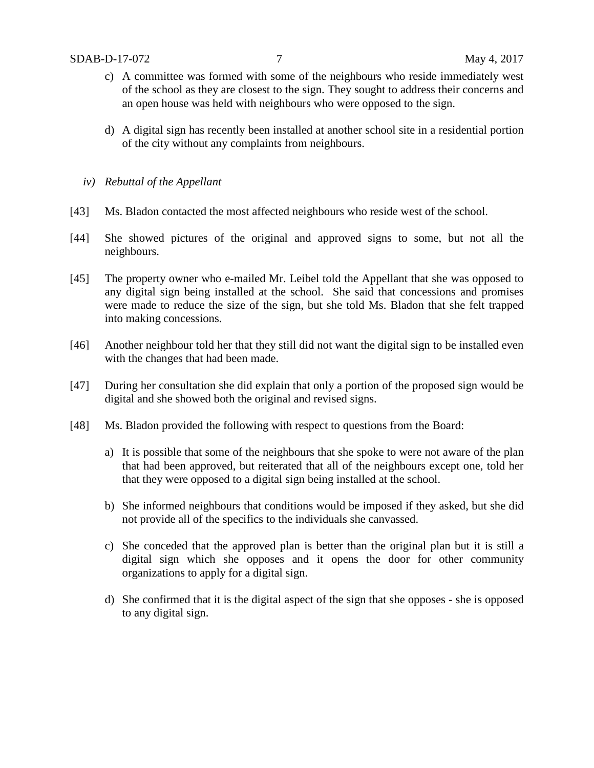- c) A committee was formed with some of the neighbours who reside immediately west of the school as they are closest to the sign. They sought to address their concerns and an open house was held with neighbours who were opposed to the sign.
- d) A digital sign has recently been installed at another school site in a residential portion of the city without any complaints from neighbours.
- *iv) Rebuttal of the Appellant*
- [43] Ms. Bladon contacted the most affected neighbours who reside west of the school.
- [44] She showed pictures of the original and approved signs to some, but not all the neighbours.
- [45] The property owner who e-mailed Mr. Leibel told the Appellant that she was opposed to any digital sign being installed at the school. She said that concessions and promises were made to reduce the size of the sign, but she told Ms. Bladon that she felt trapped into making concessions.
- [46] Another neighbour told her that they still did not want the digital sign to be installed even with the changes that had been made.
- [47] During her consultation she did explain that only a portion of the proposed sign would be digital and she showed both the original and revised signs.
- [48] Ms. Bladon provided the following with respect to questions from the Board:
	- a) It is possible that some of the neighbours that she spoke to were not aware of the plan that had been approved, but reiterated that all of the neighbours except one, told her that they were opposed to a digital sign being installed at the school.
	- b) She informed neighbours that conditions would be imposed if they asked, but she did not provide all of the specifics to the individuals she canvassed.
	- c) She conceded that the approved plan is better than the original plan but it is still a digital sign which she opposes and it opens the door for other community organizations to apply for a digital sign.
	- d) She confirmed that it is the digital aspect of the sign that she opposes she is opposed to any digital sign.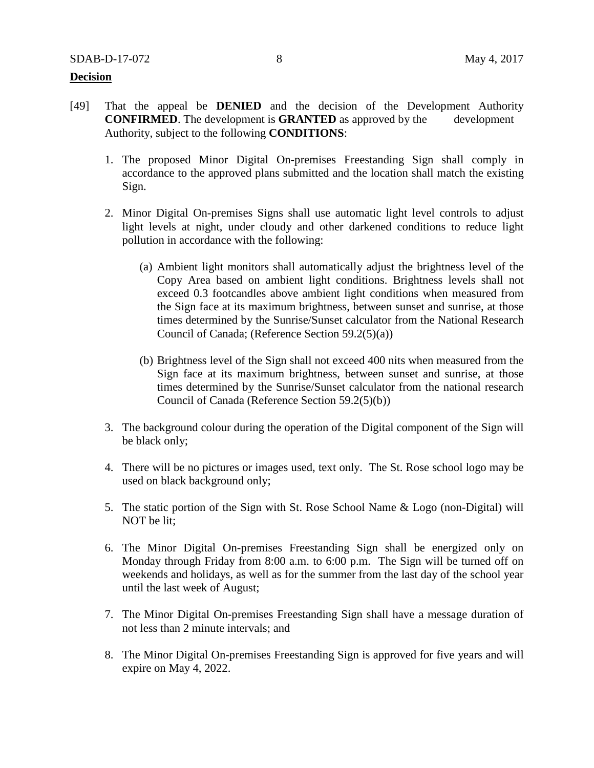### **Decision**

- [49] That the appeal be **DENIED** and the decision of the Development Authority **CONFIRMED**. The development is **GRANTED** as approved by the development Authority, subject to the following **CONDITIONS**:
	- 1. The proposed Minor Digital On-premises Freestanding Sign shall comply in accordance to the approved plans submitted and the location shall match the existing Sign.
	- 2. Minor Digital On-premises Signs shall use automatic light level controls to adjust light levels at night, under cloudy and other darkened conditions to reduce light pollution in accordance with the following:
		- (a) Ambient light monitors shall automatically adjust the brightness level of the Copy Area based on ambient light conditions. Brightness levels shall not exceed 0.3 footcandles above ambient light conditions when measured from the Sign face at its maximum brightness, between sunset and sunrise, at those times determined by the Sunrise/Sunset calculator from the National Research Council of Canada; (Reference Section 59.2(5)(a))
		- (b) Brightness level of the Sign shall not exceed 400 nits when measured from the Sign face at its maximum brightness, between sunset and sunrise, at those times determined by the Sunrise/Sunset calculator from the national research Council of Canada (Reference Section 59.2(5)(b))
	- 3. The background colour during the operation of the Digital component of the Sign will be black only;
	- 4. There will be no pictures or images used, text only. The St. Rose school logo may be used on black background only;
	- 5. The static portion of the Sign with St. Rose School Name & Logo (non-Digital) will NOT be lit;
	- 6. The Minor Digital On-premises Freestanding Sign shall be energized only on Monday through Friday from 8:00 a.m. to 6:00 p.m. The Sign will be turned off on weekends and holidays, as well as for the summer from the last day of the school year until the last week of August;
	- 7. The Minor Digital On-premises Freestanding Sign shall have a message duration of not less than 2 minute intervals; and
	- 8. The Minor Digital On-premises Freestanding Sign is approved for five years and will expire on May 4, 2022.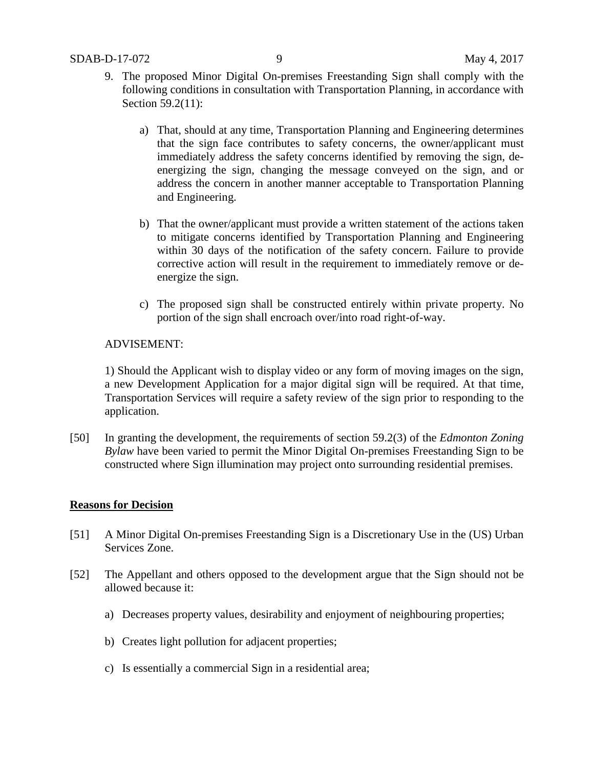- 9. The proposed Minor Digital On-premises Freestanding Sign shall comply with the following conditions in consultation with Transportation Planning, in accordance with Section 59.2(11):
	- a) That, should at any time, Transportation Planning and Engineering determines that the sign face contributes to safety concerns, the owner/applicant must immediately address the safety concerns identified by removing the sign, deenergizing the sign, changing the message conveyed on the sign, and or address the concern in another manner acceptable to Transportation Planning and Engineering.
	- b) That the owner/applicant must provide a written statement of the actions taken to mitigate concerns identified by Transportation Planning and Engineering within 30 days of the notification of the safety concern. Failure to provide corrective action will result in the requirement to immediately remove or deenergize the sign.
	- c) The proposed sign shall be constructed entirely within private property. No portion of the sign shall encroach over/into road right-of-way.

## ADVISEMENT:

1) Should the Applicant wish to display video or any form of moving images on the sign, a new Development Application for a major digital sign will be required. At that time, Transportation Services will require a safety review of the sign prior to responding to the application.

[50] In granting the development, the requirements of section 59.2(3) of the *Edmonton Zoning Bylaw* have been varied to permit the Minor Digital On-premises Freestanding Sign to be constructed where Sign illumination may project onto surrounding residential premises.

## **Reasons for Decision**

- [51] A Minor Digital On-premises Freestanding Sign is a Discretionary Use in the (US) Urban Services Zone.
- [52] The Appellant and others opposed to the development argue that the Sign should not be allowed because it:
	- a) Decreases property values, desirability and enjoyment of neighbouring properties;
	- b) Creates light pollution for adjacent properties;
	- c) Is essentially a commercial Sign in a residential area;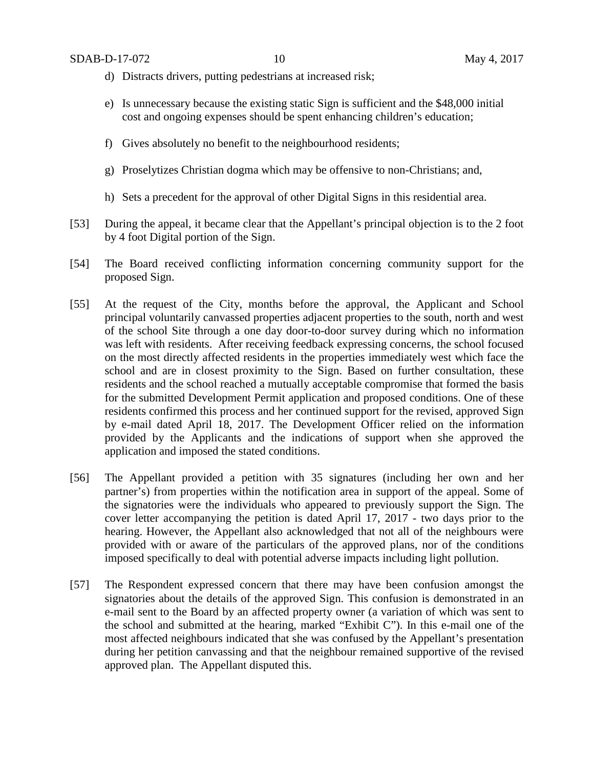- d) Distracts drivers, putting pedestrians at increased risk;
- e) Is unnecessary because the existing static Sign is sufficient and the \$48,000 initial cost and ongoing expenses should be spent enhancing children's education;
- f) Gives absolutely no benefit to the neighbourhood residents;
- g) Proselytizes Christian dogma which may be offensive to non-Christians; and,
- h) Sets a precedent for the approval of other Digital Signs in this residential area.
- [53] During the appeal, it became clear that the Appellant's principal objection is to the 2 foot by 4 foot Digital portion of the Sign.
- [54] The Board received conflicting information concerning community support for the proposed Sign.
- [55] At the request of the City, months before the approval, the Applicant and School principal voluntarily canvassed properties adjacent properties to the south, north and west of the school Site through a one day door-to-door survey during which no information was left with residents. After receiving feedback expressing concerns, the school focused on the most directly affected residents in the properties immediately west which face the school and are in closest proximity to the Sign. Based on further consultation, these residents and the school reached a mutually acceptable compromise that formed the basis for the submitted Development Permit application and proposed conditions. One of these residents confirmed this process and her continued support for the revised, approved Sign by e-mail dated April 18, 2017. The Development Officer relied on the information provided by the Applicants and the indications of support when she approved the application and imposed the stated conditions.
- [56] The Appellant provided a petition with 35 signatures (including her own and her partner's) from properties within the notification area in support of the appeal. Some of the signatories were the individuals who appeared to previously support the Sign. The cover letter accompanying the petition is dated April 17, 2017 - two days prior to the hearing. However, the Appellant also acknowledged that not all of the neighbours were provided with or aware of the particulars of the approved plans, nor of the conditions imposed specifically to deal with potential adverse impacts including light pollution.
- [57] The Respondent expressed concern that there may have been confusion amongst the signatories about the details of the approved Sign. This confusion is demonstrated in an e-mail sent to the Board by an affected property owner (a variation of which was sent to the school and submitted at the hearing, marked "Exhibit C"). In this e-mail one of the most affected neighbours indicated that she was confused by the Appellant's presentation during her petition canvassing and that the neighbour remained supportive of the revised approved plan. The Appellant disputed this.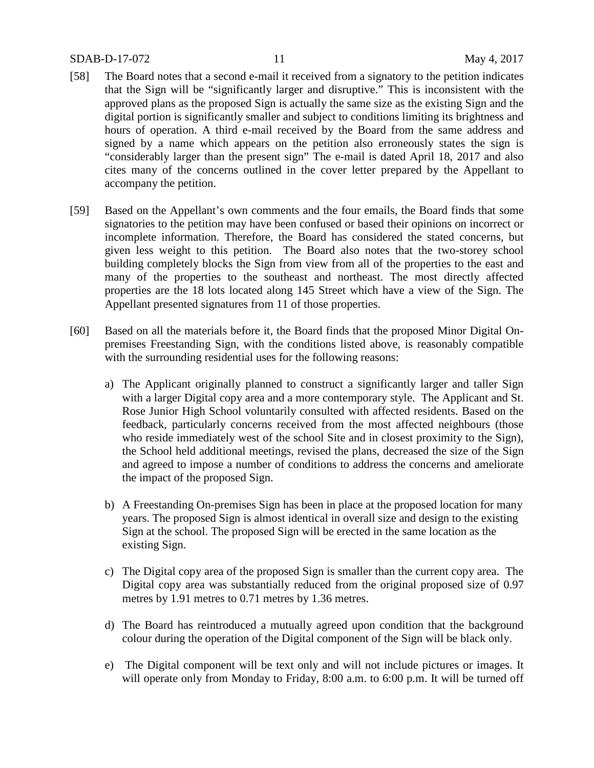### SDAB-D-17-072 11 May 4, 2017

- [58] The Board notes that a second e-mail it received from a signatory to the petition indicates that the Sign will be "significantly larger and disruptive." This is inconsistent with the approved plans as the proposed Sign is actually the same size as the existing Sign and the digital portion is significantly smaller and subject to conditions limiting its brightness and hours of operation. A third e-mail received by the Board from the same address and signed by a name which appears on the petition also erroneously states the sign is "considerably larger than the present sign" The e-mail is dated April 18, 2017 and also cites many of the concerns outlined in the cover letter prepared by the Appellant to accompany the petition.
- [59] Based on the Appellant's own comments and the four emails, the Board finds that some signatories to the petition may have been confused or based their opinions on incorrect or incomplete information. Therefore, the Board has considered the stated concerns, but given less weight to this petition. The Board also notes that the two-storey school building completely blocks the Sign from view from all of the properties to the east and many of the properties to the southeast and northeast. The most directly affected properties are the 18 lots located along 145 Street which have a view of the Sign. The Appellant presented signatures from 11 of those properties.
- [60] Based on all the materials before it, the Board finds that the proposed Minor Digital Onpremises Freestanding Sign, with the conditions listed above, is reasonably compatible with the surrounding residential uses for the following reasons:
	- a) The Applicant originally planned to construct a significantly larger and taller Sign with a larger Digital copy area and a more contemporary style. The Applicant and St. Rose Junior High School voluntarily consulted with affected residents. Based on the feedback, particularly concerns received from the most affected neighbours (those who reside immediately west of the school Site and in closest proximity to the Sign), the School held additional meetings, revised the plans, decreased the size of the Sign and agreed to impose a number of conditions to address the concerns and ameliorate the impact of the proposed Sign.
	- b) A Freestanding On-premises Sign has been in place at the proposed location for many years. The proposed Sign is almost identical in overall size and design to the existing Sign at the school. The proposed Sign will be erected in the same location as the existing Sign.
	- c) The Digital copy area of the proposed Sign is smaller than the current copy area. The Digital copy area was substantially reduced from the original proposed size of 0.97 metres by 1.91 metres to 0.71 metres by 1.36 metres.
	- d) The Board has reintroduced a mutually agreed upon condition that the background colour during the operation of the Digital component of the Sign will be black only.
	- e) The Digital component will be text only and will not include pictures or images. It will operate only from Monday to Friday, 8:00 a.m. to 6:00 p.m. It will be turned off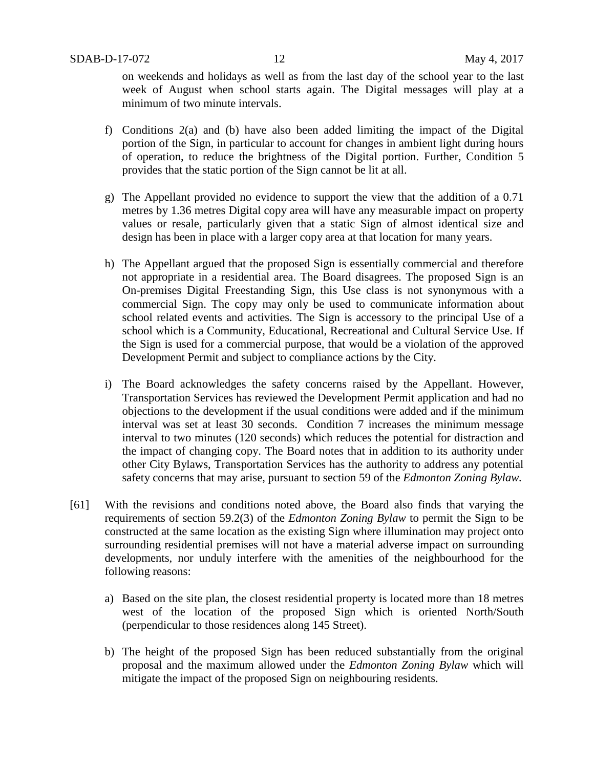on weekends and holidays as well as from the last day of the school year to the last week of August when school starts again. The Digital messages will play at a minimum of two minute intervals.

- f) Conditions 2(a) and (b) have also been added limiting the impact of the Digital portion of the Sign, in particular to account for changes in ambient light during hours of operation, to reduce the brightness of the Digital portion. Further, Condition 5 provides that the static portion of the Sign cannot be lit at all.
- g) The Appellant provided no evidence to support the view that the addition of a 0.71 metres by 1.36 metres Digital copy area will have any measurable impact on property values or resale, particularly given that a static Sign of almost identical size and design has been in place with a larger copy area at that location for many years.
- h) The Appellant argued that the proposed Sign is essentially commercial and therefore not appropriate in a residential area. The Board disagrees. The proposed Sign is an On-premises Digital Freestanding Sign, this Use class is not synonymous with a commercial Sign. The copy may only be used to communicate information about school related events and activities. The Sign is accessory to the principal Use of a school which is a Community, Educational, Recreational and Cultural Service Use. If the Sign is used for a commercial purpose, that would be a violation of the approved Development Permit and subject to compliance actions by the City.
- i) The Board acknowledges the safety concerns raised by the Appellant. However, Transportation Services has reviewed the Development Permit application and had no objections to the development if the usual conditions were added and if the minimum interval was set at least 30 seconds. Condition 7 increases the minimum message interval to two minutes (120 seconds) which reduces the potential for distraction and the impact of changing copy. The Board notes that in addition to its authority under other City Bylaws, Transportation Services has the authority to address any potential safety concerns that may arise, pursuant to section 59 of the *Edmonton Zoning Bylaw.*
- [61] With the revisions and conditions noted above, the Board also finds that varying the requirements of section 59.2(3) of the *Edmonton Zoning Bylaw* to permit the Sign to be constructed at the same location as the existing Sign where illumination may project onto surrounding residential premises will not have a material adverse impact on surrounding developments, nor unduly interfere with the amenities of the neighbourhood for the following reasons:
	- a) Based on the site plan, the closest residential property is located more than 18 metres west of the location of the proposed Sign which is oriented North/South (perpendicular to those residences along 145 Street).
	- b) The height of the proposed Sign has been reduced substantially from the original proposal and the maximum allowed under the *Edmonton Zoning Bylaw* which will mitigate the impact of the proposed Sign on neighbouring residents.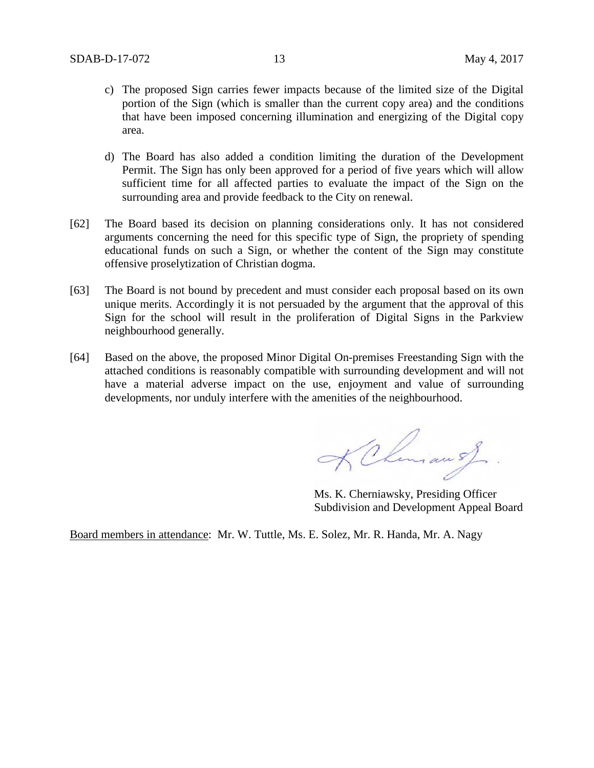- c) The proposed Sign carries fewer impacts because of the limited size of the Digital portion of the Sign (which is smaller than the current copy area) and the conditions that have been imposed concerning illumination and energizing of the Digital copy area.
- d) The Board has also added a condition limiting the duration of the Development Permit. The Sign has only been approved for a period of five years which will allow sufficient time for all affected parties to evaluate the impact of the Sign on the surrounding area and provide feedback to the City on renewal.
- [62] The Board based its decision on planning considerations only. It has not considered arguments concerning the need for this specific type of Sign, the propriety of spending educational funds on such a Sign, or whether the content of the Sign may constitute offensive proselytization of Christian dogma.
- [63] The Board is not bound by precedent and must consider each proposal based on its own unique merits. Accordingly it is not persuaded by the argument that the approval of this Sign for the school will result in the proliferation of Digital Signs in the Parkview neighbourhood generally.
- [64] Based on the above, the proposed Minor Digital On-premises Freestanding Sign with the attached conditions is reasonably compatible with surrounding development and will not have a material adverse impact on the use, enjoyment and value of surrounding developments, nor unduly interfere with the amenities of the neighbourhood.

KChman of

Ms. K. Cherniawsky, Presiding Officer Subdivision and Development Appeal Board

Board members in attendance: Mr. W. Tuttle, Ms. E. Solez, Mr. R. Handa, Mr. A. Nagy